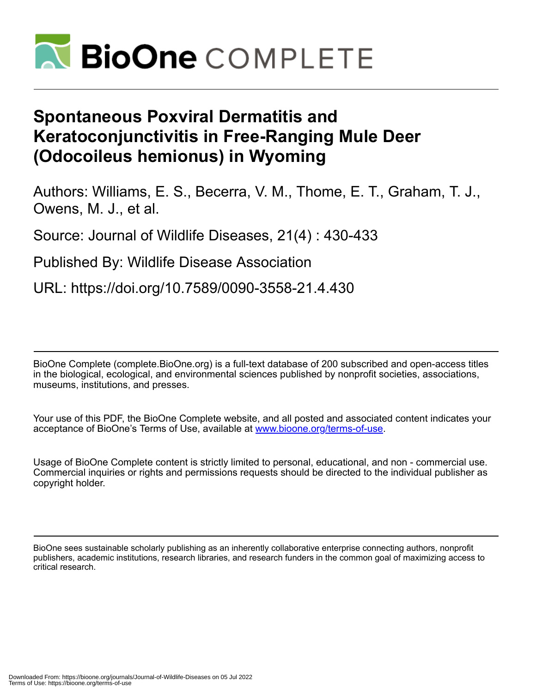

## **Spontaneous Poxviral Dermatitis and Keratoconjunctivitis in Free-Ranging Mule Deer (Odocoileus hemionus) in Wyoming**

Authors: Williams, E. S., Becerra, V. M., Thome, E. T., Graham, T. J., Owens, M. J., et al.

Source: Journal of Wildlife Diseases, 21(4) : 430-433

Published By: Wildlife Disease Association

URL: https://doi.org/10.7589/0090-3558-21.4.430

BioOne Complete (complete.BioOne.org) is a full-text database of 200 subscribed and open-access titles in the biological, ecological, and environmental sciences published by nonprofit societies, associations, museums, institutions, and presses.

Your use of this PDF, the BioOne Complete website, and all posted and associated content indicates your acceptance of BioOne's Terms of Use, available at www.bioone.org/terms-of-use.

Usage of BioOne Complete content is strictly limited to personal, educational, and non - commercial use. Commercial inquiries or rights and permissions requests should be directed to the individual publisher as copyright holder.

BioOne sees sustainable scholarly publishing as an inherently collaborative enterprise connecting authors, nonprofit publishers, academic institutions, research libraries, and research funders in the common goal of maximizing access to critical research.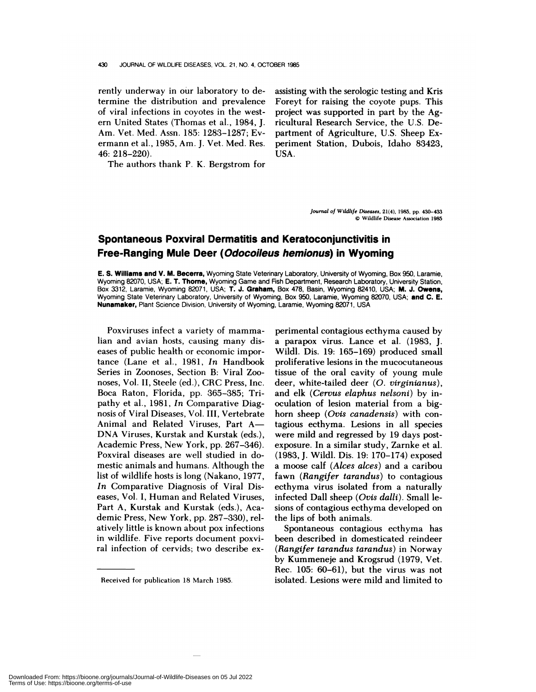rently underway in our laboratory to determine the distribution and prevalence of viral infections in coyotes in the west ern United States (Thomas et al., 1984, J. Am. Vet. Med. Assn. 185: 1283-1287; Ev ermann et a!., 1985, Am. J. Vet. Med. Res. 46: 218-220).

The authors thank P. K. Bergstrom for

assisting with the serologic testing and Kris Foreyt for raising the coyote pups. This project was supported in part by the Agricultural Research Service, the U.S. Department of Agriculture, U.S. Sheep Experiment Station, Dubois, Idaho 83423, USA.

> *Journal of Wildlife Diseases,* 21(4), 1985, **pp.** 430-433 © Wildlife Disease Association 1985

## **Spontaneous Poxviral Dermatitis and Keratoconjunctivitis in Free-Ranging Mule Deer (Odocoileus hemionus) in Wyoming**

**E. S. Williams and V. M. Becerra,** Wyoming State Veterinary Laboratory, University of Wyoming, Box 950, Laramie, Wyoming 82070, USA; E. T. Thorne, Wyoming Game and Fish Department, Research Laboratory, University Station, Box 3312, Laramie, Wyoming 82071, USA; T. **J. Graham, Box 478, Basin,** Wyoming 82410, USA; M. **J. Owens,** Wyoming State Veterinary Laboratory, University of Wyoming, Box 950, Laramie, Wyoming 82070, USA; **and C. E. Nunamaker,** Plant Science Division, University of Wyoming, Laramie, Wyoming 82071, USA

Poxviruses infect a variety of mammalian and avian hosts, causing many dis eases of public health or economic importance (Lane et a!., 1981, *In* Handbook Series in Zoonoses, Section B: Viral Zoo noses, Vol. II, Steele (ed), CRC Press, Inc. Boca Raton, Florida, pp. 365-385; Tripathy et al., 1981, *In* Comparative Diagnosis of Viral Diseases, Vol. III, Vertebrate Animal and Related Viruses, Part A-DNA Viruses, Kurstak and Kurstak (eds.), Academic Press, New York, pp. 267-346). Poxvira! diseases are well studied in domestic animals and humans. Although the list of wildlife hosts is long (Nakano, 1977, *In* Comparative Diagnosis of Viral Dis eases, Vol. I, Human and Related Viruses, Part A, Kurstak and Kurstak (eds.), Academic Press, New York, pp. 287-330), relatively little is known about pox infections in wildlife. Five reports document poxviral infection of cervids; two describe ex-

perimental contagious ecthyma caused by a parapox virus. Lance et al. (1983, J. Wild!. Dis. 19: 165-169) produced small proliferative lesions in the mucocutaneous tissue of the oral cavity of young mule deer, white-tailed deer *(0. virginianus),* and elk *(Cervus elaphus nelsoni)* by inoculation of lesion material from a bighorn sheep *(Ovis canadensis)* with contagious ecthyma. Lesions in all species were mild and regressed by 19 days postexposure. In a similar study, Zarnke et al. (1983, J. Wild!. Dis. 19: 170-174) exposed a moose calf *(Alces alces)* and a caribou fawn *(Rangifer tarandus)* to contagious ecthyma virus isolated from a naturally infected Dal! sheep *(Ovis dalli).* Small lesions of contagious ecthyma developed on the lips of both animals.

Spontaneous contagious ecthyma has been described in domesticated reindeer *(Rangifer tarandus tarandus)* in Norway by Kummeneje and Krogsrud (1979, Vet. Rec. 105: 60-61), but the virus was not isolated. Lesions were mild and limited to

Received for publication 18 March 1985.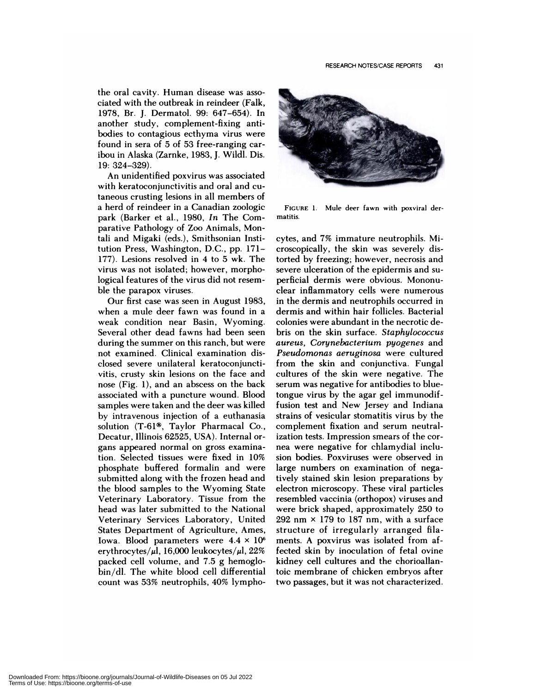the oral cavity. Human disease was asso ciated with the outbreak in reindeer (Falk, 1978, Br. J. Dermatol. 99: 647-654). In another study, complement-fixing antibodies to contagious ecthyma virus were found in sera of 5 of 53 free-ranging caribou in Alaska (Zarnke, 1983, J. Wildl. Dis. 19: 324-329).

An unidentified poxvirus was associated with kenatoconjunctivitis and oral and cutaneous crusting lesions in all members of a herd of reindeer in a Canadian zoologic park (Barker et a!., 1980, *In* The Comparative Pathology of Zoo Animals, Montali and Migaki (eds.), Smithsonian Institution Press, Washington, D.C., pp. 171- 177). Lesions resolved in 4 to 5 wk. The virus was not isolated; however, morphological features of the virus did not resem ble the parapox viruses.

Our first case was seen in August 1983, when a mule deer fawn was found in a weak condition near Basin, Wyoming. Several other dead fawns had been seen during the summer on this ranch, but were not examined. Clinical examination disclosed severe unilateral keratoconjunctivitis, crusty skin lesions on the face and nose (Fig. 1), and an abscess on the back associated with a puncture wound. Blood samples were taken and the deer was killed by intravenous injection of a euthanasia solution  $(T-61)$ , Taylor Pharmacal Co., Decatur, Illinois 62525, USA). Internal or gans appeared normal on gross examination. Selected tissues were fixed in 10% phosphate buffered formalin and were submitted along with the frozen head and the blood samples to the Wyoming State Veterinary Laboratory. Tissue from the head was later submitted to the National Veterinary Services Laboratory, United States Department of Agriculture, Ames, Iowa. Blood parameters were  $4.4 \times 10^6$ erythrocytes/ $\mu$ l, 16,000 leukocytes/ $\mu$ l, 22% packed cell volume, and 7.5 g hemoglobin/dl. The white blood cell differential count was 53% neutrophils, 40% lympho-



**FIGURE** 1. Mule deer fawn with poxviral der matitis.

cytes, and 7% immature neutrophils. Microscopically, the skin was severely distorted by freezing; however, necrosis and severe ulceration of the epidermis and su perficial dermis were obvious. Mononuclear inflammatory cells were numerous in the dermis and neutrophils occurred in dermis and within hair follicles. Bacteria! colonies were abundant in the necrotic debris on the skin surface. *Staphylococcus aureus, Corynebacterium pyogenes* and *Pseudomonas aeruginosa* were cultured from the skin and conjunctiva. Funga! cultures of the skin were negative. The serum was negative for antibodies to bluetongue virus by the agar gel immunodiffusion test and New Jersey and Indiana strains of vesicular stomatitis virus by the complement fixation and serum neutralization tests. Impression smears of the cor nea were negative for chlamydial inclusion bodies. Poxviruses were observed in large numbers on examination of negatively stained skin lesion preparations by electron microscopy. These viral particles resembled vaccinia (orthopox) viruses and were brick shaped, approximately 250 to 292 nm  $\times$  179 to 187 nm, with a surface structure of irregularly arranged filaments. A poxvirus was isolated from affected skin by inoculation of fetal ovine kidney cell cultures and the chorioallantoic membrane of chicken embryos after two passages, but it was not characterized.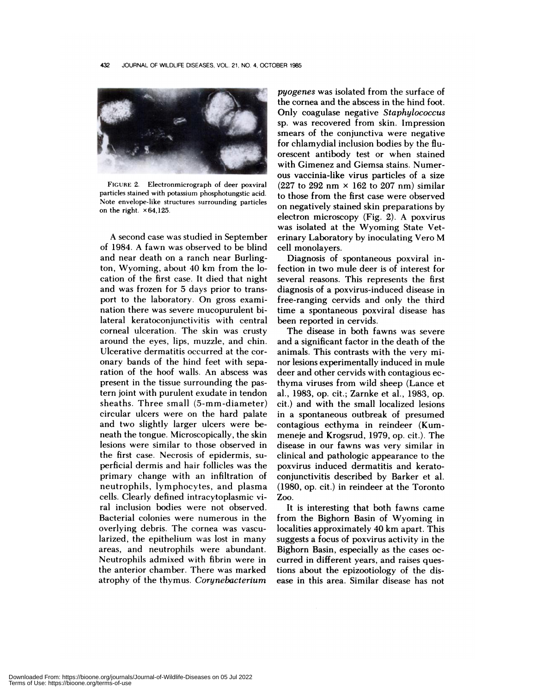

**FIGURE** 2. Electronmicrograph of deer poxviral particles stained with potassium phosphotungstic acid. Note envelope-like structures surrounding particles on the right.  $\times 64,125$ .

A second case was studied in September of 1984. A fawn was observed to be blind and near death on a ranch near Burlington, Wyoming, about 40 km from the location of the first case. It died that night and was frozen for 5 days prior to transport to the laboratory. On gross examination there was severe mucopurulent bilateral keratoconjunctivitis with central cornea! ulceration. The skin was crusty around the eyes, lips, muzzle, and chin. Ulcerative dermatitis occurred at the cor onary bands of the hind feet with separation of the hoof walls. An abscess was present in the tissue surrounding the pastern joint with purulent exudate in tendon sheaths. Three small (5-mm-diameter) circular ulcers were on the hard palate and two slightly larger ulcers were beneath the tongue. Microscopically, the skin lesions were similar to those observed in the first case. Necrosis of epidermis, su perficial dermis and hair follicles was the primary change with an infiltration of neutrophils, lymphocytes, and plasma cells. Cleanly defined intracytoplasmic viral inclusion bodies were not observed. Bacterial colonies were numerous in the overlying debris. The cornea was vascularized, the epithelium was lost in many areas, and neutrophils were abundant. Neutrophils admixed with fibrin were in the anterior chamber. There was marked atrophy of the thymus. *Corynebacteriurn*

*pyogenes* was isolated from the surface of the cornea and the abscess in the hind foot. Only coagulase negative *Staphylococcus* sp. was recovered from skin. Impression smears of the conjunctiva were negative for chlamydial inclusion bodies by the fluorescent antibody test or when stained with Gimenez and Giemsa stains. Numer ous vaccinia-like virus particles of a size (227 to 292 nm  $\times$  162 to 207 nm) similar to those from the first case were observed on negatively stained skin preparations by electron microscopy (Fig. 2). A poxvirus was isolated at the Wyoming State Veterinary Laboratory by inoculating Vero M cell monolayers.

Diagnosis of spontaneous poxviral infection in two mule deer is of interest for several reasons. This represents the first diagnosis of a poxvirus-induced disease in free-ranging cervids and only the third time a spontaneous poxviral disease has been reported in cervids.

The disease in both fawns was severe and a significant factor in the death of the animals. This contrasts with the very mi nor lesions experimentally induced in mule deer and other cervids with contagious ecthyma viruses from wild sheep (Lance et a!., 1983, op. cit.; Zarnke et al., 1983, op. cit.) and with the small localized lesions in a spontaneous outbreak of presumed contagious ecthyma in reindeer (Kummeneje and Krogsrud, 1979, op. cit.). The disease in our fawns was very similar in clinical and pathologic appearance to the poxvirus induced dermatitis and kenatoconjunctivitis described by Barker et al. (1980, op. cit.) in reindeer at the Toronto Zoo.

It is interesting that both fawns came from the Bighorn Basin of Wyoming in localities approximately 40 km apart. This suggests a focus of poxvirus activity in the Bighorn Basin, especially as the cases oc curred in different years, and raises questions about the epizootiology of the disease in this area. Similar disease has not